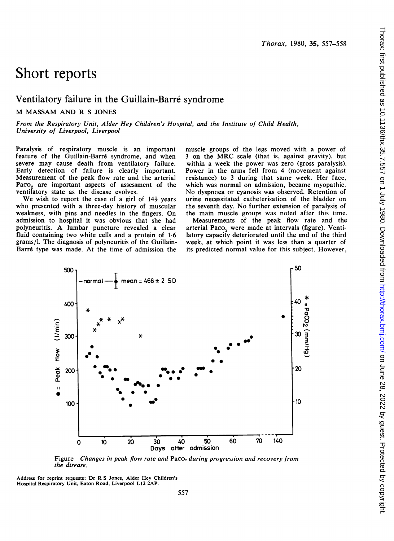# Short reports

## Ventilatory failure in the Guillain-Barré syndrome

#### M MASSAM AND R <sup>S</sup> JONES

From the Respiratory Unit, Alder Hey Children's Hospital, and the Institute of Child Health, University of Liverpool, Liverpool

Paralysis of respiratory muscle is an important feature of the Guillain-Barré syndrome, and when severe may cause death from ventilatory failure. Early detection of failure is clearly important. Measurement of the peak flow rate and the arterial Paco<sub>2</sub> are important aspects of assessment of the ventilatory state as the disease evolves.

We wish to report the case of a girl of  $14\frac{1}{2}$  years who presented with a three-day history of muscular weakness, with pins and needles in the fingers. On admission to hospital it was obvious that she had polyneuritis. A lumbar puncture revealed <sup>a</sup> clear fluid containing two white cells and a protein of 1-6 grams/l. The diagnosis of polyneuritis of the Guillain-Barré type was made. At the time of admission the

muscle groups of the legs moved with a power of <sup>3</sup> on the MRC scale (that is, against gravity), but within a week the power was zero (gross paralysis). Power in the arms fell from 4 (movement against resistance) to <sup>3</sup> during that same week. Her face, which was normal on admission, became myopathic. No dyspnoea or cyanosis was observed. Retention of urine necessitated catheterisation of the bladder on the seventh day. No further extension of paralysis of the main muscle groups was noted after this time.

Measurements of the peak flow rate and the arterial Paco<sub>2</sub> were made at intervals (figure). Ventilatory capacity deteriorated until the end of the third week, at which point it was less than a quarter of its predicted normal value for this subject. However,



Figure Changes in peak flow rate and Paco<sub>2</sub> during progression and recovery from the disease.

Address for reprint requests: Dr R <sup>S</sup> Jones, Alder Hey Children's Hospital Respiratory Unit, Eaton Road, Liverpool L12 2AP.